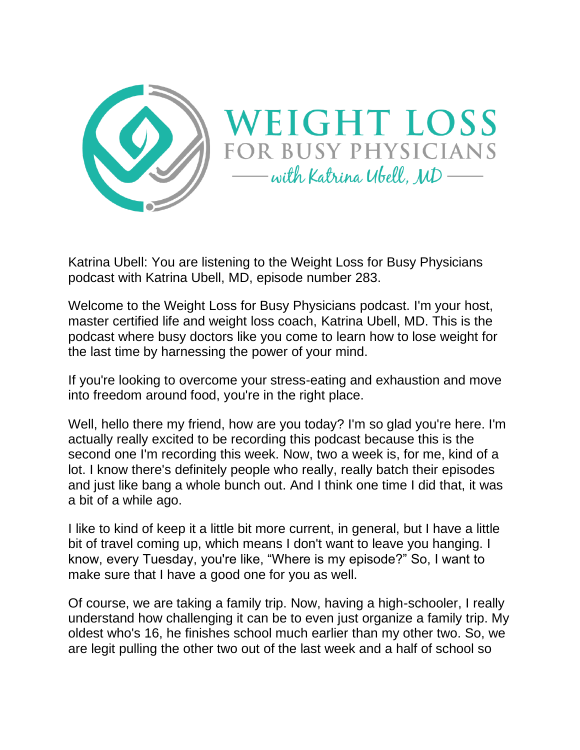

Katrina Ubell: You are listening to the Weight Loss for Busy Physicians podcast with Katrina Ubell, MD, episode number 283.

Welcome to the Weight Loss for Busy Physicians podcast. I'm your host, master certified life and weight loss coach, Katrina Ubell, MD. This is the podcast where busy doctors like you come to learn how to lose weight for the last time by harnessing the power of your mind.

If you're looking to overcome your stress-eating and exhaustion and move into freedom around food, you're in the right place.

Well, hello there my friend, how are you today? I'm so glad you're here. I'm actually really excited to be recording this podcast because this is the second one I'm recording this week. Now, two a week is, for me, kind of a lot. I know there's definitely people who really, really batch their episodes and just like bang a whole bunch out. And I think one time I did that, it was a bit of a while ago.

I like to kind of keep it a little bit more current, in general, but I have a little bit of travel coming up, which means I don't want to leave you hanging. I know, every Tuesday, you're like, "Where is my episode?" So, I want to make sure that I have a good one for you as well.

Of course, we are taking a family trip. Now, having a high-schooler, I really understand how challenging it can be to even just organize a family trip. My oldest who's 16, he finishes school much earlier than my other two. So, we are legit pulling the other two out of the last week and a half of school so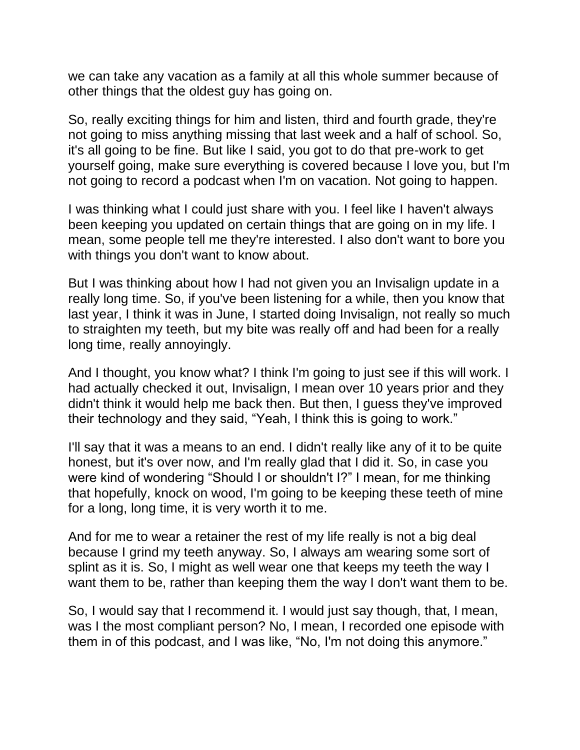we can take any vacation as a family at all this whole summer because of other things that the oldest guy has going on.

So, really exciting things for him and listen, third and fourth grade, they're not going to miss anything missing that last week and a half of school. So, it's all going to be fine. But like I said, you got to do that pre-work to get yourself going, make sure everything is covered because I love you, but I'm not going to record a podcast when I'm on vacation. Not going to happen.

I was thinking what I could just share with you. I feel like I haven't always been keeping you updated on certain things that are going on in my life. I mean, some people tell me they're interested. I also don't want to bore you with things you don't want to know about.

But I was thinking about how I had not given you an Invisalign update in a really long time. So, if you've been listening for a while, then you know that last year, I think it was in June, I started doing Invisalign, not really so much to straighten my teeth, but my bite was really off and had been for a really long time, really annoyingly.

And I thought, you know what? I think I'm going to just see if this will work. I had actually checked it out, Invisalign, I mean over 10 years prior and they didn't think it would help me back then. But then, I guess they've improved their technology and they said, "Yeah, I think this is going to work."

I'll say that it was a means to an end. I didn't really like any of it to be quite honest, but it's over now, and I'm really glad that I did it. So, in case you were kind of wondering "Should I or shouldn't I?" I mean, for me thinking that hopefully, knock on wood, I'm going to be keeping these teeth of mine for a long, long time, it is very worth it to me.

And for me to wear a retainer the rest of my life really is not a big deal because I grind my teeth anyway. So, I always am wearing some sort of splint as it is. So, I might as well wear one that keeps my teeth the way I want them to be, rather than keeping them the way I don't want them to be.

So, I would say that I recommend it. I would just say though, that, I mean, was I the most compliant person? No, I mean, I recorded one episode with them in of this podcast, and I was like, "No, I'm not doing this anymore."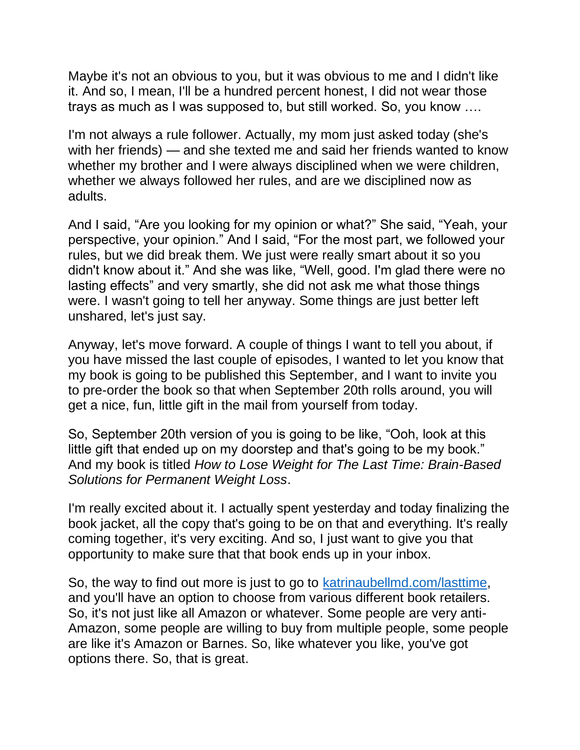Maybe it's not an obvious to you, but it was obvious to me and I didn't like it. And so, I mean, I'll be a hundred percent honest, I did not wear those trays as much as I was supposed to, but still worked. So, you know ….

I'm not always a rule follower. Actually, my mom just asked today (she's with her friends) — and she texted me and said her friends wanted to know whether my brother and I were always disciplined when we were children, whether we always followed her rules, and are we disciplined now as adults.

And I said, "Are you looking for my opinion or what?" She said, "Yeah, your perspective, your opinion." And I said, "For the most part, we followed your rules, but we did break them. We just were really smart about it so you didn't know about it." And she was like, "Well, good. I'm glad there were no lasting effects" and very smartly, she did not ask me what those things were. I wasn't going to tell her anyway. Some things are just better left unshared, let's just say.

Anyway, let's move forward. A couple of things I want to tell you about, if you have missed the last couple of episodes, I wanted to let you know that my book is going to be published this September, and I want to invite you to pre-order the book so that when September 20th rolls around, you will get a nice, fun, little gift in the mail from yourself from today.

So, September 20th version of you is going to be like, "Ooh, look at this little gift that ended up on my doorstep and that's going to be my book." And my book is titled *How to Lose Weight for The Last Time: Brain-Based Solutions for Permanent Weight Loss*.

I'm really excited about it. I actually spent yesterday and today finalizing the book jacket, all the copy that's going to be on that and everything. It's really coming together, it's very exciting. And so, I just want to give you that opportunity to make sure that that book ends up in your inbox.

So, the way to find out more is just to go to [katrinaubellmd.com/lasttime,](https://learn.katrinaubellmd.com/how-to-lose-weight-for-the-last-time-preorder/?utm_campaign=wldo&utm_medium=podcast&utm_source=katrinaubellmd.com&utm_campaign=lasttime&utm_medium=email&utm_source=ontraport) and you'll have an option to choose from various different book retailers. So, it's not just like all Amazon or whatever. Some people are very anti-Amazon, some people are willing to buy from multiple people, some people are like it's Amazon or Barnes. So, like whatever you like, you've got options there. So, that is great.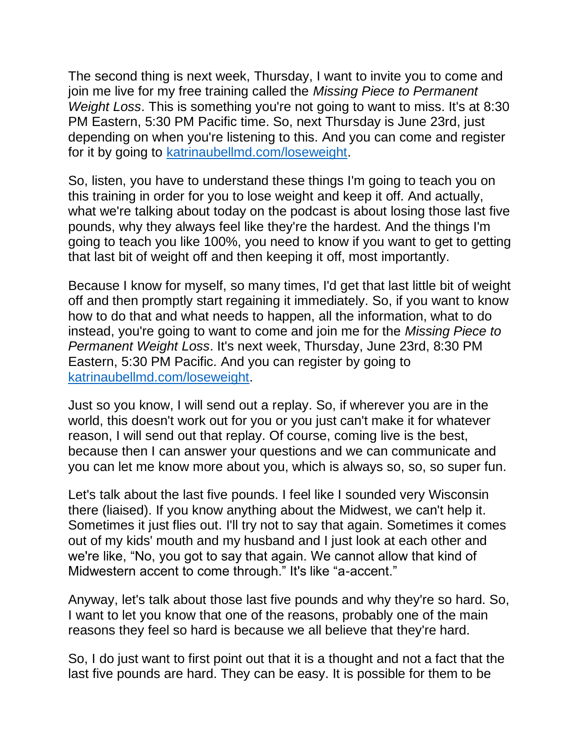The second thing is next week, Thursday, I want to invite you to come and join me live for my free training called the *Missing Piece to Permanent Weight Loss*. This is something you're not going to want to miss. It's at 8:30 PM Eastern, 5:30 PM Pacific time. So, next Thursday is June 23rd, just depending on when you're listening to this. And you can come and register for it by going to [katrinaubellmd.com/loseweight.](https://katrinaubellmd.pages.ontraport.net/training-jun232022?utm_campaign=wldo&utm_medium=podcast&utm_source=katrinaubellmd.com)

So, listen, you have to understand these things I'm going to teach you on this training in order for you to lose weight and keep it off. And actually, what we're talking about today on the podcast is about losing those last five pounds, why they always feel like they're the hardest. And the things I'm going to teach you like 100%, you need to know if you want to get to getting that last bit of weight off and then keeping it off, most importantly.

Because I know for myself, so many times, I'd get that last little bit of weight off and then promptly start regaining it immediately. So, if you want to know how to do that and what needs to happen, all the information, what to do instead, you're going to want to come and join me for the *Missing Piece to Permanent Weight Loss*. It's next week, Thursday, June 23rd, 8:30 PM Eastern, 5:30 PM Pacific. And you can register by going to [katrinaubellmd.com/loseweight.](https://katrinaubellmd.pages.ontraport.net/training-jun232022?utm_campaign=wldo&utm_medium=podcast&utm_source=katrinaubellmd.com)

Just so you know, I will send out a replay. So, if wherever you are in the world, this doesn't work out for you or you just can't make it for whatever reason, I will send out that replay. Of course, coming live is the best, because then I can answer your questions and we can communicate and you can let me know more about you, which is always so, so, so super fun.

Let's talk about the last five pounds. I feel like I sounded very Wisconsin there (liaised). If you know anything about the Midwest, we can't help it. Sometimes it just flies out. I'll try not to say that again. Sometimes it comes out of my kids' mouth and my husband and I just look at each other and we're like, "No, you got to say that again. We cannot allow that kind of Midwestern accent to come through." It's like "a-accent."

Anyway, let's talk about those last five pounds and why they're so hard. So, I want to let you know that one of the reasons, probably one of the main reasons they feel so hard is because we all believe that they're hard.

So, I do just want to first point out that it is a thought and not a fact that the last five pounds are hard. They can be easy. It is possible for them to be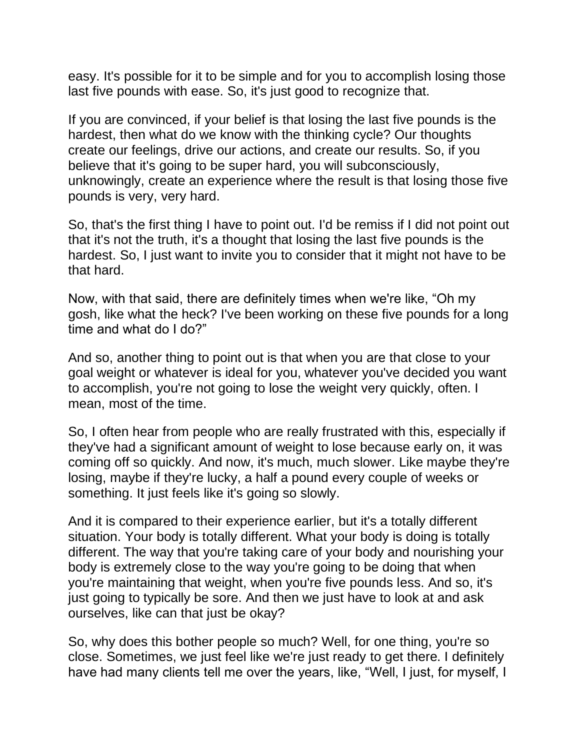easy. It's possible for it to be simple and for you to accomplish losing those last five pounds with ease. So, it's just good to recognize that.

If you are convinced, if your belief is that losing the last five pounds is the hardest, then what do we know with the thinking cycle? Our thoughts create our feelings, drive our actions, and create our results. So, if you believe that it's going to be super hard, you will subconsciously, unknowingly, create an experience where the result is that losing those five pounds is very, very hard.

So, that's the first thing I have to point out. I'd be remiss if I did not point out that it's not the truth, it's a thought that losing the last five pounds is the hardest. So, I just want to invite you to consider that it might not have to be that hard.

Now, with that said, there are definitely times when we're like, "Oh my gosh, like what the heck? I've been working on these five pounds for a long time and what do I do?"

And so, another thing to point out is that when you are that close to your goal weight or whatever is ideal for you, whatever you've decided you want to accomplish, you're not going to lose the weight very quickly, often. I mean, most of the time.

So, I often hear from people who are really frustrated with this, especially if they've had a significant amount of weight to lose because early on, it was coming off so quickly. And now, it's much, much slower. Like maybe they're losing, maybe if they're lucky, a half a pound every couple of weeks or something. It just feels like it's going so slowly.

And it is compared to their experience earlier, but it's a totally different situation. Your body is totally different. What your body is doing is totally different. The way that you're taking care of your body and nourishing your body is extremely close to the way you're going to be doing that when you're maintaining that weight, when you're five pounds less. And so, it's just going to typically be sore. And then we just have to look at and ask ourselves, like can that just be okay?

So, why does this bother people so much? Well, for one thing, you're so close. Sometimes, we just feel like we're just ready to get there. I definitely have had many clients tell me over the years, like, "Well, I just, for myself, I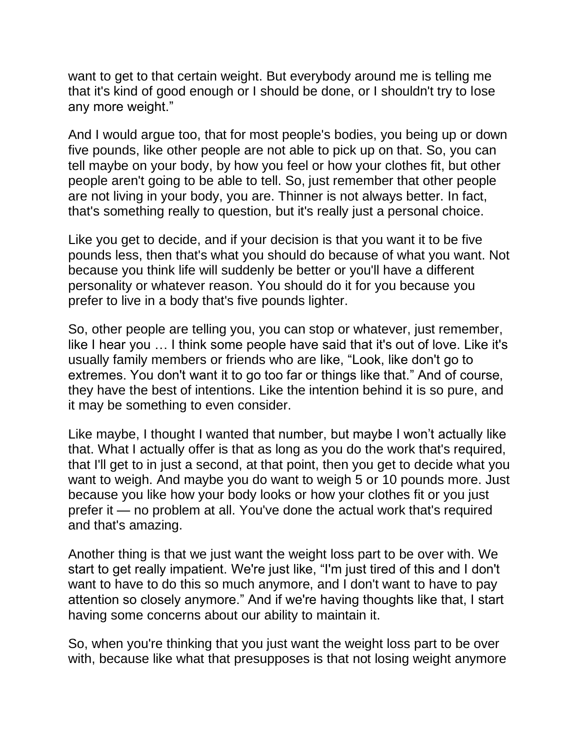want to get to that certain weight. But everybody around me is telling me that it's kind of good enough or I should be done, or I shouldn't try to lose any more weight."

And I would argue too, that for most people's bodies, you being up or down five pounds, like other people are not able to pick up on that. So, you can tell maybe on your body, by how you feel or how your clothes fit, but other people aren't going to be able to tell. So, just remember that other people are not living in your body, you are. Thinner is not always better. In fact, that's something really to question, but it's really just a personal choice.

Like you get to decide, and if your decision is that you want it to be five pounds less, then that's what you should do because of what you want. Not because you think life will suddenly be better or you'll have a different personality or whatever reason. You should do it for you because you prefer to live in a body that's five pounds lighter.

So, other people are telling you, you can stop or whatever, just remember, like I hear you … I think some people have said that it's out of love. Like it's usually family members or friends who are like, "Look, like don't go to extremes. You don't want it to go too far or things like that." And of course, they have the best of intentions. Like the intention behind it is so pure, and it may be something to even consider.

Like maybe, I thought I wanted that number, but maybe I won't actually like that. What I actually offer is that as long as you do the work that's required, that I'll get to in just a second, at that point, then you get to decide what you want to weigh. And maybe you do want to weigh 5 or 10 pounds more. Just because you like how your body looks or how your clothes fit or you just prefer it — no problem at all. You've done the actual work that's required and that's amazing.

Another thing is that we just want the weight loss part to be over with. We start to get really impatient. We're just like, "I'm just tired of this and I don't want to have to do this so much anymore, and I don't want to have to pay attention so closely anymore." And if we're having thoughts like that, I start having some concerns about our ability to maintain it.

So, when you're thinking that you just want the weight loss part to be over with, because like what that presupposes is that not losing weight anymore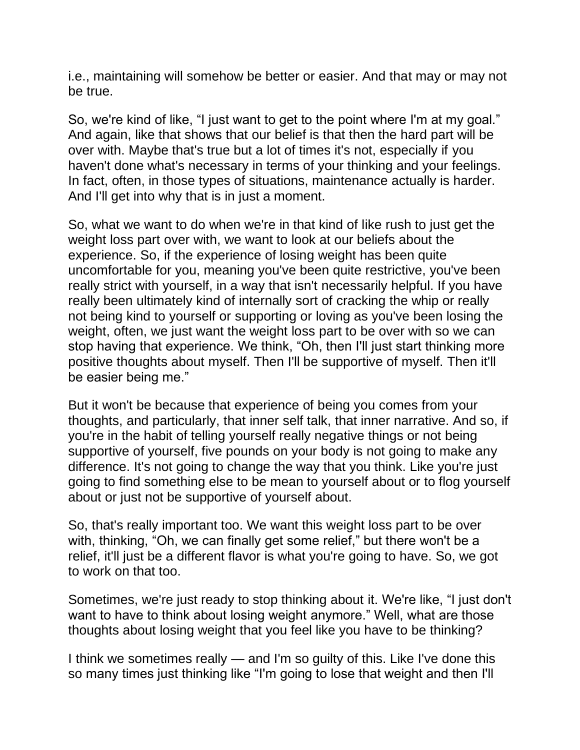i.e., maintaining will somehow be better or easier. And that may or may not be true.

So, we're kind of like, "I just want to get to the point where I'm at my goal." And again, like that shows that our belief is that then the hard part will be over with. Maybe that's true but a lot of times it's not, especially if you haven't done what's necessary in terms of your thinking and your feelings. In fact, often, in those types of situations, maintenance actually is harder. And I'll get into why that is in just a moment.

So, what we want to do when we're in that kind of like rush to just get the weight loss part over with, we want to look at our beliefs about the experience. So, if the experience of losing weight has been quite uncomfortable for you, meaning you've been quite restrictive, you've been really strict with yourself, in a way that isn't necessarily helpful. If you have really been ultimately kind of internally sort of cracking the whip or really not being kind to yourself or supporting or loving as you've been losing the weight, often, we just want the weight loss part to be over with so we can stop having that experience. We think, "Oh, then I'll just start thinking more positive thoughts about myself. Then I'll be supportive of myself. Then it'll be easier being me."

But it won't be because that experience of being you comes from your thoughts, and particularly, that inner self talk, that inner narrative. And so, if you're in the habit of telling yourself really negative things or not being supportive of yourself, five pounds on your body is not going to make any difference. It's not going to change the way that you think. Like you're just going to find something else to be mean to yourself about or to flog yourself about or just not be supportive of yourself about.

So, that's really important too. We want this weight loss part to be over with, thinking, "Oh, we can finally get some relief," but there won't be a relief, it'll just be a different flavor is what you're going to have. So, we got to work on that too.

Sometimes, we're just ready to stop thinking about it. We're like, "I just don't want to have to think about losing weight anymore." Well, what are those thoughts about losing weight that you feel like you have to be thinking?

I think we sometimes really — and I'm so guilty of this. Like I've done this so many times just thinking like "I'm going to lose that weight and then I'll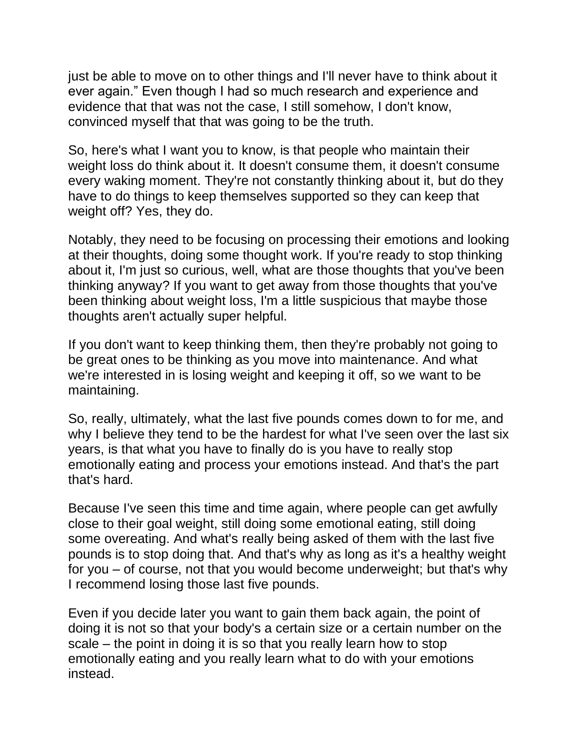just be able to move on to other things and I'll never have to think about it ever again." Even though I had so much research and experience and evidence that that was not the case, I still somehow, I don't know, convinced myself that that was going to be the truth.

So, here's what I want you to know, is that people who maintain their weight loss do think about it. It doesn't consume them, it doesn't consume every waking moment. They're not constantly thinking about it, but do they have to do things to keep themselves supported so they can keep that weight off? Yes, they do.

Notably, they need to be focusing on processing their emotions and looking at their thoughts, doing some thought work. If you're ready to stop thinking about it, I'm just so curious, well, what are those thoughts that you've been thinking anyway? If you want to get away from those thoughts that you've been thinking about weight loss, I'm a little suspicious that maybe those thoughts aren't actually super helpful.

If you don't want to keep thinking them, then they're probably not going to be great ones to be thinking as you move into maintenance. And what we're interested in is losing weight and keeping it off, so we want to be maintaining.

So, really, ultimately, what the last five pounds comes down to for me, and why I believe they tend to be the hardest for what I've seen over the last six years, is that what you have to finally do is you have to really stop emotionally eating and process your emotions instead. And that's the part that's hard.

Because I've seen this time and time again, where people can get awfully close to their goal weight, still doing some emotional eating, still doing some overeating. And what's really being asked of them with the last five pounds is to stop doing that. And that's why as long as it's a healthy weight for you – of course, not that you would become underweight; but that's why I recommend losing those last five pounds.

Even if you decide later you want to gain them back again, the point of doing it is not so that your body's a certain size or a certain number on the scale – the point in doing it is so that you really learn how to stop emotionally eating and you really learn what to do with your emotions instead.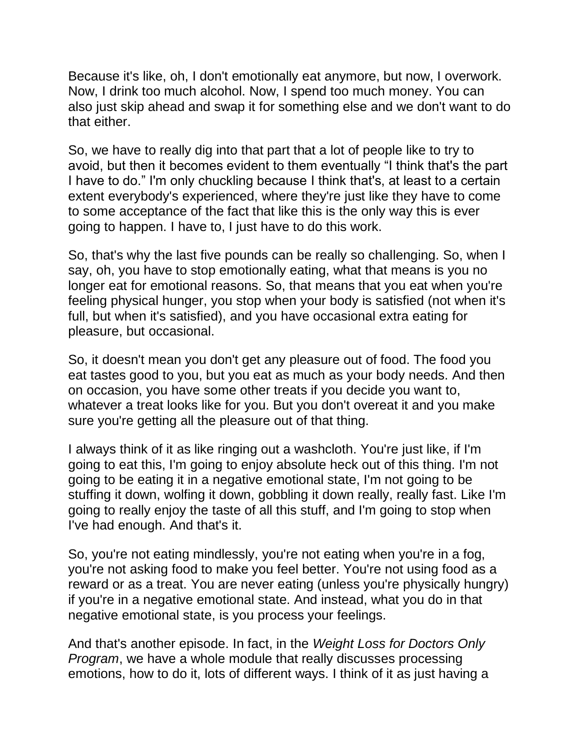Because it's like, oh, I don't emotionally eat anymore, but now, I overwork. Now, I drink too much alcohol. Now, I spend too much money. You can also just skip ahead and swap it for something else and we don't want to do that either.

So, we have to really dig into that part that a lot of people like to try to avoid, but then it becomes evident to them eventually "I think that's the part I have to do." I'm only chuckling because I think that's, at least to a certain extent everybody's experienced, where they're just like they have to come to some acceptance of the fact that like this is the only way this is ever going to happen. I have to, I just have to do this work.

So, that's why the last five pounds can be really so challenging. So, when I say, oh, you have to stop emotionally eating, what that means is you no longer eat for emotional reasons. So, that means that you eat when you're feeling physical hunger, you stop when your body is satisfied (not when it's full, but when it's satisfied), and you have occasional extra eating for pleasure, but occasional.

So, it doesn't mean you don't get any pleasure out of food. The food you eat tastes good to you, but you eat as much as your body needs. And then on occasion, you have some other treats if you decide you want to, whatever a treat looks like for you. But you don't overeat it and you make sure you're getting all the pleasure out of that thing.

I always think of it as like ringing out a washcloth. You're just like, if I'm going to eat this, I'm going to enjoy absolute heck out of this thing. I'm not going to be eating it in a negative emotional state, I'm not going to be stuffing it down, wolfing it down, gobbling it down really, really fast. Like I'm going to really enjoy the taste of all this stuff, and I'm going to stop when I've had enough. And that's it.

So, you're not eating mindlessly, you're not eating when you're in a fog, you're not asking food to make you feel better. You're not using food as a reward or as a treat. You are never eating (unless you're physically hungry) if you're in a negative emotional state. And instead, what you do in that negative emotional state, is you process your feelings.

And that's another episode. In fact, in the *Weight Loss for Doctors Only Program*, we have a whole module that really discusses processing emotions, how to do it, lots of different ways. I think of it as just having a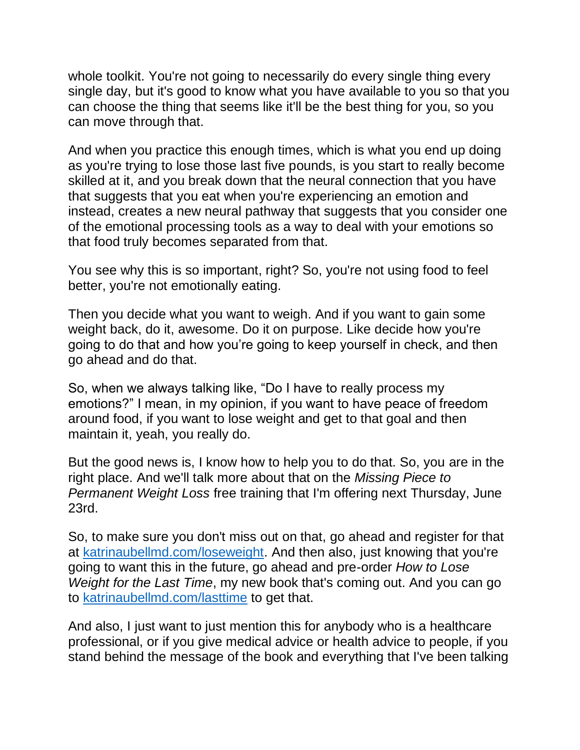whole toolkit. You're not going to necessarily do every single thing every single day, but it's good to know what you have available to you so that you can choose the thing that seems like it'll be the best thing for you, so you can move through that.

And when you practice this enough times, which is what you end up doing as you're trying to lose those last five pounds, is you start to really become skilled at it, and you break down that the neural connection that you have that suggests that you eat when you're experiencing an emotion and instead, creates a new neural pathway that suggests that you consider one of the emotional processing tools as a way to deal with your emotions so that food truly becomes separated from that.

You see why this is so important, right? So, you're not using food to feel better, you're not emotionally eating.

Then you decide what you want to weigh. And if you want to gain some weight back, do it, awesome. Do it on purpose. Like decide how you're going to do that and how you're going to keep yourself in check, and then go ahead and do that.

So, when we always talking like, "Do I have to really process my emotions?" I mean, in my opinion, if you want to have peace of freedom around food, if you want to lose weight and get to that goal and then maintain it, yeah, you really do.

But the good news is, I know how to help you to do that. So, you are in the right place. And we'll talk more about that on the *Missing Piece to Permanent Weight Loss* free training that I'm offering next Thursday, June 23rd.

So, to make sure you don't miss out on that, go ahead and register for that at [katrinaubellmd.com/loseweight.](https://katrinaubellmd.pages.ontraport.net/training-jun232022?utm_campaign=wldo&utm_medium=podcast&utm_source=katrinaubellmd.com) And then also, just knowing that you're going to want this in the future, go ahead and pre-order *How to Lose Weight for the Last Time*, my new book that's coming out. And you can go to [katrinaubellmd.com/lasttime](https://learn.katrinaubellmd.com/how-to-lose-weight-for-the-last-time-preorder/?utm_campaign=wldo&utm_medium=podcast&utm_source=katrinaubellmd.com&utm_campaign=lasttime&utm_medium=email&utm_source=ontraport) to get that.

And also, I just want to just mention this for anybody who is a healthcare professional, or if you give medical advice or health advice to people, if you stand behind the message of the book and everything that I've been talking